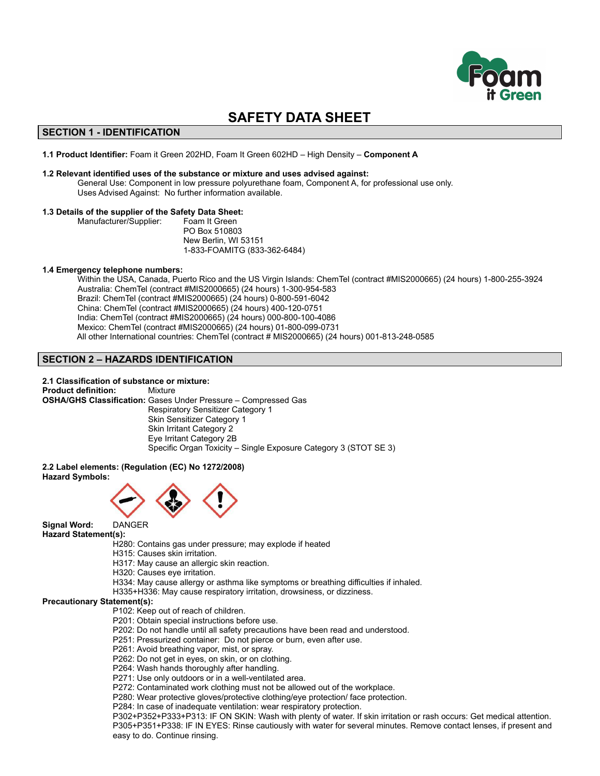

# **SAFETY DATA SHEET**

# **SECTION 1 - IDENTIFICATION**

**1.1 Product Identifier:** Foam it Green 202HD, Foam It Green 602HD – High Density – **Component A**

## **1.2 Relevant identified uses of the substance or mixture and uses advised against:**

General Use: Component in low pressure polyurethane foam, Component A, for professional use only. Uses Advised Against: No further information available.

## **1.3 Details of the supplier of the Safety Data Sheet:**

Manufacturer/Supplier: Foam It Green PO Box 510803 New Berlin, WI 53151 1-833-FOAMITG (833-362-6484)

## **1.4 Emergency telephone numbers:**

Within the USA, Canada, Puerto Rico and the US Virgin Islands: ChemTel (contract #MIS2000665) (24 hours) 1-800-255-3924 Australia: ChemTel (contract #MIS2000665) (24 hours) 1-300-954-583 Brazil: ChemTel (contract #MIS2000665) (24 hours) 0-800-591-6042 China: ChemTel (contract #MIS2000665) (24 hours) 400-120-0751 India: ChemTel (contract #MIS2000665) (24 hours) 000-800-100-4086 Mexico: ChemTel (contract #MIS2000665) (24 hours) 01-800-099-0731 All other International countries: ChemTel (contract # MIS2000665) (24 hours) 001-813-248-0585

# **SECTION 2 – HAZARDS IDENTIFICATION**

#### **2.1 Classification of substance or mixture:**

**Product definition:** Mixture **OSHA/GHS Classification:** Gases Under Pressure – Compressed Gas Respiratory Sensitizer Category 1 Skin Sensitizer Category 1 Skin Irritant Category 2 Eye Irritant Category 2B Specific Organ Toxicity – Single Exposure Category 3 (STOT SE 3)

**2.2 Label elements: (Regulation (EC) No 1272/2008) Hazard Symbols:**



**Signal Word:** DANGER

**Hazard Statement(s):**

- H280: Contains gas under pressure; may explode if heated
	- H315: Causes skin irritation.
	- H317: May cause an allergic skin reaction.
	- H320: Causes eye irritation.
	- H334: May cause allergy or asthma like symptoms or breathing difficulties if inhaled.
	- H335+H336: May cause respiratory irritation, drowsiness, or dizziness.

# **Precautionary Statement(s):**

- P102: Keep out of reach of children.
- P201: Obtain special instructions before use.
- P202: Do not handle until all safety precautions have been read and understood.
- P251: Pressurized container: Do not pierce or burn, even after use.
- P261: Avoid breathing vapor, mist, or spray.
- P262: Do not get in eyes, on skin, or on clothing.
- P264: Wash hands thoroughly after handling.
- P271: Use only outdoors or in a well-ventilated area.
- P272: Contaminated work clothing must not be allowed out of the workplace.
- P280: Wear protective gloves/protective clothing/eye protection/ face protection.
- P284: In case of inadequate ventilation: wear respiratory protection.

P302+P352+P333+P313: IF ON SKIN: Wash with plenty of water. If skin irritation or rash occurs: Get medical attention. P305+P351+P338: IF IN EYES: Rinse cautiously with water for several minutes. Remove contact lenses, if present and easy to do. Continue rinsing.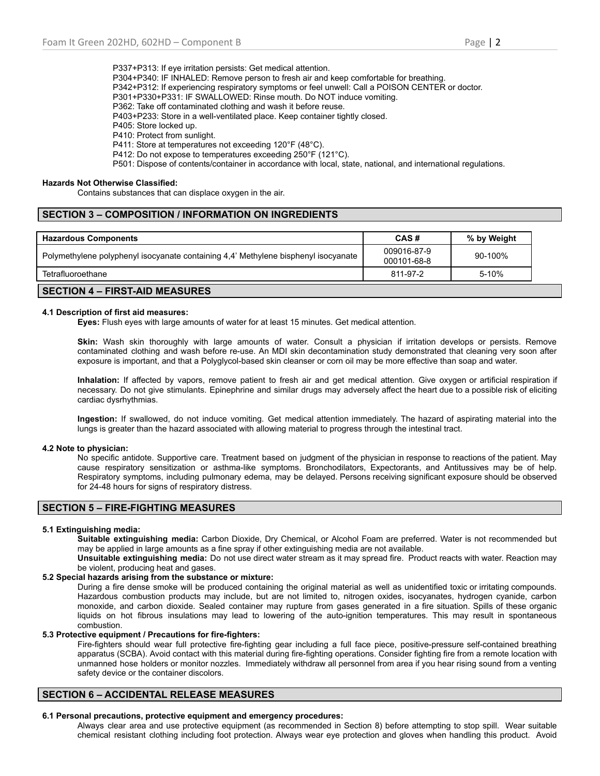P337+P313: If eye irritation persists: Get medical attention. P304+P340: IF INHALED: Remove person to fresh air and keep comfortable for breathing. P342+P312: If experiencing respiratory symptoms or feel unwell: Call a POISON CENTER or doctor. P301+P330+P331: IF SWALLOWED: Rinse mouth. Do NOT induce vomiting. P362: Take off contaminated clothing and wash it before reuse. P403+P233: Store in a well-ventilated place. Keep container tightly closed. P405: Store locked up. P410: Protect from sunlight. P411: Store at temperatures not exceeding 120°F (48°C). P412: Do not expose to temperatures exceeding 250°F (121°C). P501: Dispose of contents/container in accordance with local, state, national, and international regulations.

## **Hazards Not Otherwise Classified:**

Contains substances that can displace oxygen in the air.

# **SECTION 3 – COMPOSITION / INFORMATION ON INGREDIENTS**

| <b>Hazardous Components</b>                                                        | CAS#                       | % by Weight |
|------------------------------------------------------------------------------------|----------------------------|-------------|
| Polymethylene polyphenyl isocyanate containing 4,4' Methylene bisphenyl isocyanate | 009016-87-9<br>000101-68-8 | 90-100%     |
| Tetrafluoroethane                                                                  | 811-97-2                   | 5-10%       |
|                                                                                    |                            |             |

# **SECTION 4 – FIRST-AID MEASURES**

#### **4.1 Description of first aid measures:**

**Eyes:** Flush eyes with large amounts of water for at least 15 minutes. Get medical attention.

**Skin:** Wash skin thoroughly with large amounts of water. Consult a physician if irritation develops or persists. Remove contaminated clothing and wash before re-use. An MDI skin decontamination study demonstrated that cleaning very soon after exposure is important, and that a Polyglycol-based skin cleanser or corn oil may be more effective than soap and water.

**Inhalation:** If affected by vapors, remove patient to fresh air and get medical attention. Give oxygen or artificial respiration if necessary. Do not give stimulants. Epinephrine and similar drugs may adversely affect the heart due to a possible risk of eliciting cardiac dysrhythmias.

**Ingestion:** If swallowed, do not induce vomiting. Get medical attention immediately. The hazard of aspirating material into the lungs is greater than the hazard associated with allowing material to progress through the intestinal tract.

## **4.2 Note to physician:**

No specific antidote. Supportive care. Treatment based on judgment of the physician in response to reactions of the patient. May cause respiratory sensitization or asthma-like symptoms. Bronchodilators, Expectorants, and Antitussives may be of help. Respiratory symptoms, including pulmonary edema, may be delayed. Persons receiving significant exposure should be observed for 24-48 hours for signs of respiratory distress.

## **SECTION 5 – FIRE-FIGHTING MEASURES**

## **5.1 Extinguishing media:**

**Suitable extinguishing media:** Carbon Dioxide, Dry Chemical, or Alcohol Foam are preferred. Water is not recommended but may be applied in large amounts as a fine spray if other extinguishing media are not available.

**Unsuitable extinguishing media:** Do not use direct water stream as it may spread fire. Product reacts with water. Reaction may be violent, producing heat and gases.

# **5.2 Special hazards arising from the substance or mixture:**

During a fire dense smoke will be produced containing the original material as well as unidentified toxic or irritating compounds. Hazardous combustion products may include, but are not limited to, nitrogen oxides, isocyanates, hydrogen cyanide, carbon monoxide, and carbon dioxide. Sealed container may rupture from gases generated in a fire situation. Spills of these organic liquids on hot fibrous insulations may lead to lowering of the auto-ignition temperatures. This may result in spontaneous combustion.

## **5.3 Protective equipment / Precautions for fire-fighters:**

Fire-fighters should wear full protective fire-fighting gear including a full face piece, positive-pressure self-contained breathing apparatus (SCBA). Avoid contact with this material during fire-fighting operations. Consider fighting fire from a remote location with unmanned hose holders or monitor nozzles. Immediately withdraw all personnel from area if you hear rising sound from a venting safety device or the container discolors.

# **SECTION 6 – ACCIDENTAL RELEASE MEASURES**

## **6.1 Personal precautions, protective equipment and emergency procedures:**

Always clear area and use protective equipment (as recommended in Section 8) before attempting to stop spill. Wear suitable chemical resistant clothing including foot protection. Always wear eye protection and gloves when handling this product. Avoid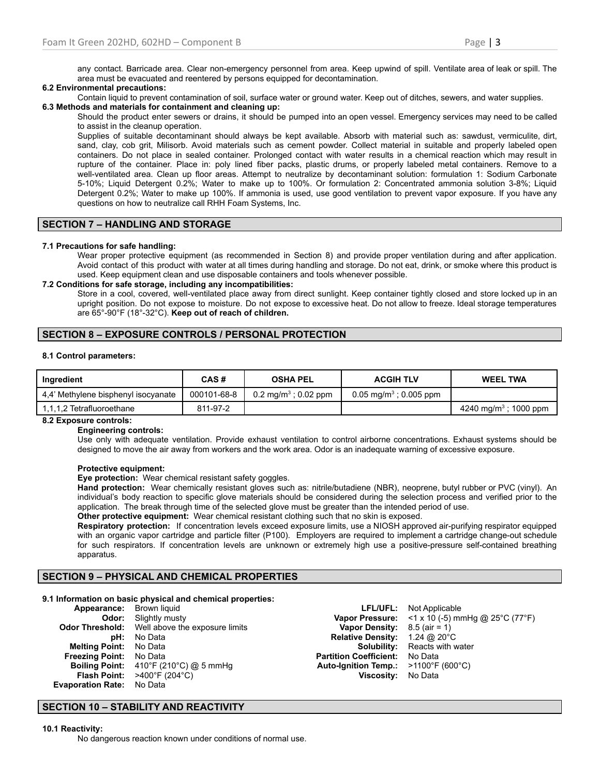any contact. Barricade area. Clear non-emergency personnel from area. Keep upwind of spill. Ventilate area of leak or spill. The area must be evacuated and reentered by persons equipped for decontamination.

## **6.2 Environmental precautions:**

Contain liquid to prevent contamination of soil, surface water or ground water. Keep out of ditches, sewers, and water supplies. **6.3 Methods and materials for containment and cleaning up:**

Should the product enter sewers or drains, it should be pumped into an open vessel. Emergency services may need to be called to assist in the cleanup operation.

Supplies of suitable decontaminant should always be kept available. Absorb with material such as: sawdust, vermiculite, dirt, sand, clay, cob grit, Milisorb. Avoid materials such as cement powder. Collect material in suitable and properly labeled open containers. Do not place in sealed container. Prolonged contact with water results in a chemical reaction which may result in rupture of the container. Place in: poly lined fiber packs, plastic drums, or properly labeled metal containers. Remove to a well-ventilated area. Clean up floor areas. Attempt to neutralize by decontaminant solution: formulation 1: Sodium Carbonate 5-10%; Liquid Detergent 0.2%; Water to make up to 100%. Or formulation 2: Concentrated ammonia solution 3-8%; Liquid Detergent 0.2%; Water to make up 100%. If ammonia is used, use good ventilation to prevent vapor exposure. If you have any questions on how to neutralize call RHH Foam Systems, Inc.

# **SECTION 7 – HANDLING AND STORAGE**

## **7.1 Precautions for safe handling:**

Wear proper protective equipment (as recommended in Section 8) and provide proper ventilation during and after application. Avoid contact of this product with water at all times during handling and storage. Do not eat, drink, or smoke where this product is used. Keep equipment clean and use disposable containers and tools whenever possible.

## **7.2 Conditions for safe storage, including any incompatibilities:**

Store in a cool, covered, well-ventilated place away from direct sunlight. Keep container tightly closed and store locked up in an upright position. Do not expose to moisture. Do not expose to excessive heat. Do not allow to freeze. Ideal storage temperatures are 65°-90°F (18°-32°C). **Keep out of reach of children.**

# **SECTION 8 – EXPOSURE CONTROLS / PERSONAL PROTECTION**

## **8.1 Control parameters:**

| Ingredient                          | CAS#        | <b>OSHA PEL</b>                 | <b>ACGIH TLV</b>                  | <b>WEEL TWA</b>                   |
|-------------------------------------|-------------|---------------------------------|-----------------------------------|-----------------------------------|
| 4.4' Methylene bisphenyl isocyanate | 000101-68-8 | $0.2 \text{ ma/m}^3$ : 0.02 ppm | $0.05 \text{ ma/m}^3$ : 0.005 ppm |                                   |
| 1,1,1,2 Tetrafluoroethane           | 811-97-2    |                                 |                                   | 4240 mg/m <sup>3</sup> ; 1000 ppm |

## **8.2 Exposure controls:**

## **Engineering controls:**

Use only with adequate ventilation. Provide exhaust ventilation to control airborne concentrations. Exhaust systems should be designed to move the air away from workers and the work area. Odor is an inadequate warning of excessive exposure.

## **Protective equipment:**

**Eye protection:** Wear chemical resistant safety goggles.

**Hand protection:** Wear chemically resistant gloves such as: nitrile/butadiene (NBR), neoprene, butyl rubber or PVC (vinyl). An individual's body reaction to specific glove materials should be considered during the selection process and verified prior to the application. The break through time of the selected glove must be greater than the intended period of use.

**Other protective equipment:** Wear chemical resistant clothing such that no skin is exposed.

**Respiratory protection:** If concentration levels exceed exposure limits, use a NIOSH approved air-purifying respirator equipped with an organic vapor cartridge and particle filter (P100). Employers are required to implement a cartridge change-out schedule for such respirators. If concentration levels are unknown or extremely high use a positive-pressure self-contained breathing apparatus.

## **SECTION 9 – PHYSICAL AND CHEMICAL PROPERTIES**

## **9.1 Information on basic physical and chemical properties:**

| Appearance:              | Brown liquid                   |
|--------------------------|--------------------------------|
| Odor:                    | Slightly musty                 |
| <b>Odor Threshold:</b>   | Well above the exposure limits |
| pH:                      | No Data                        |
| <b>Melting Point:</b>    | No Data                        |
| <b>Freezing Point:</b>   | No Data                        |
| <b>Boiling Point:</b>    | 410°F (210°C) @ 5 mmHg         |
| <b>Flash Point:</b>      | >400°F (204°C)                 |
| <b>Evaporation Rate:</b> | No Data                        |

**Vapor Density:** 8.5 (air = 1) **Relative Density:** 1.24 @ 20°C<br>**Solubility:** Reacts with v **Partition Coefficient:** No Data<br>**Auto-Ignition Temp.:** >1100°F (600°C) **Auto-Ignition Temp.: Viscosity:** No Data

**LFL/UFL:** Not Applicable **Vapor Pressure:** <1 x 10 (-5) mmHg @ 25°C (77°F) **Reacts with water** 

# **SECTION 10 – STABILITY AND REACTIVITY**

## **10.1 Reactivity:**

No dangerous reaction known under conditions of normal use.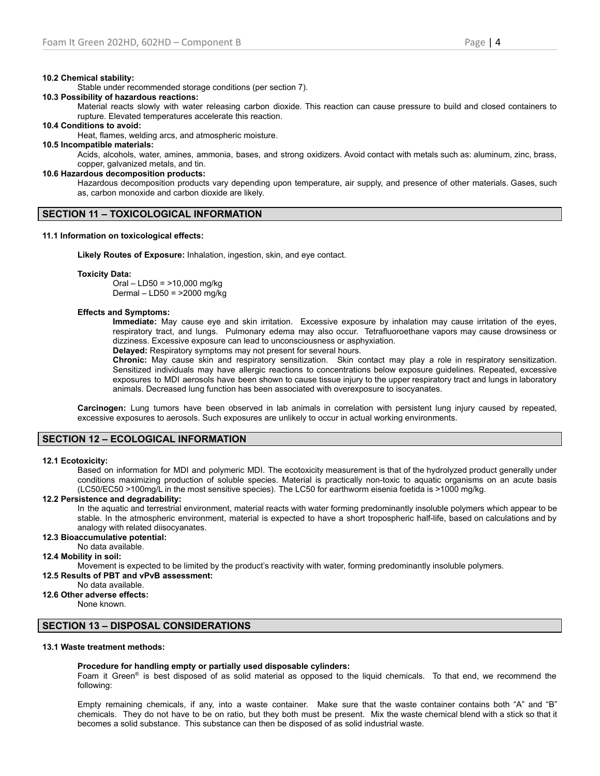#### **10.2 Chemical stability:**

Stable under recommended storage conditions (per section 7).

## **10.3 Possibility of hazardous reactions:**

Material reacts slowly with water releasing carbon dioxide. This reaction can cause pressure to build and closed containers to rupture. Elevated temperatures accelerate this reaction.

## **10.4 Conditions to avoid:**

Heat, flames, welding arcs, and atmospheric moisture.

## **10.5 Incompatible materials:**

Acids, alcohols, water, amines, ammonia, bases, and strong oxidizers. Avoid contact with metals such as: aluminum, zinc, brass, copper, galvanized metals, and tin.

## **10.6 Hazardous decomposition products:**

Hazardous decomposition products vary depending upon temperature, air supply, and presence of other materials. Gases, such as, carbon monoxide and carbon dioxide are likely.

#### **SECTION 11 – TOXICOLOGICAL INFORMATION**

#### **11.1 Information on toxicological effects:**

**Likely Routes of Exposure:** Inhalation, ingestion, skin, and eye contact.

#### **Toxicity Data:**

Oral – LD50 = >10,000 mg/kg Dermal – LD50 = >2000 mg/kg

#### **Effects and Symptoms:**

**Immediate:** May cause eye and skin irritation. Excessive exposure by inhalation may cause irritation of the eyes, respiratory tract, and lungs. Pulmonary edema may also occur. Tetrafluoroethane vapors may cause drowsiness or dizziness. Excessive exposure can lead to unconsciousness or asphyxiation.

**Delayed:** Respiratory symptoms may not present for several hours.

**Chronic:** May cause skin and respiratory sensitization. Skin contact may play a role in respiratory sensitization. Sensitized individuals may have allergic reactions to concentrations below exposure guidelines. Repeated, excessive exposures to MDI aerosols have been shown to cause tissue injury to the upper respiratory tract and lungs in laboratory animals. Decreased lung function has been associated with overexposure to isocyanates.

**Carcinogen:** Lung tumors have been observed in lab animals in correlation with persistent lung injury caused by repeated, excessive exposures to aerosols. Such exposures are unlikely to occur in actual working environments.

## **SECTION 12 – ECOLOGICAL INFORMATION**

#### **12.1 Ecotoxicity:**

Based on information for MDI and polymeric MDI. The ecotoxicity measurement is that of the hydrolyzed product generally under conditions maximizing production of soluble species. Material is practically non-toxic to aquatic organisms on an acute basis (LC50/EC50 >100mg/L in the most sensitive species). The LC50 for earthworm eisenia foetida is >1000 mg/kg.

## **12.2 Persistence and degradability:**

In the aquatic and terrestrial environment, material reacts with water forming predominantly insoluble polymers which appear to be stable. In the atmospheric environment, material is expected to have a short tropospheric half-life, based on calculations and by analogy with related diisocyanates.

## **12.3 Bioaccumulative potential:**

No data available.

**12.4 Mobility in soil:**

Movement is expected to be limited by the product's reactivity with water, forming predominantly insoluble polymers.

**12.5 Results of PBT and vPvB assessment:**

# No data available.

**12.6 Other adverse effects:**

None known.

## **SECTION 13 – DISPOSAL CONSIDERATIONS**

## **13.1 Waste treatment methods:**

#### **Procedure for handling empty or partially used disposable cylinders:**

Foam it Green<sup>®</sup> is best disposed of as solid material as opposed to the liquid chemicals. To that end, we recommend the following:

Empty remaining chemicals, if any, into a waste container. Make sure that the waste container contains both "A" and "B" chemicals. They do not have to be on ratio, but they both must be present. Mix the waste chemical blend with a stick so that it becomes a solid substance. This substance can then be disposed of as solid industrial waste.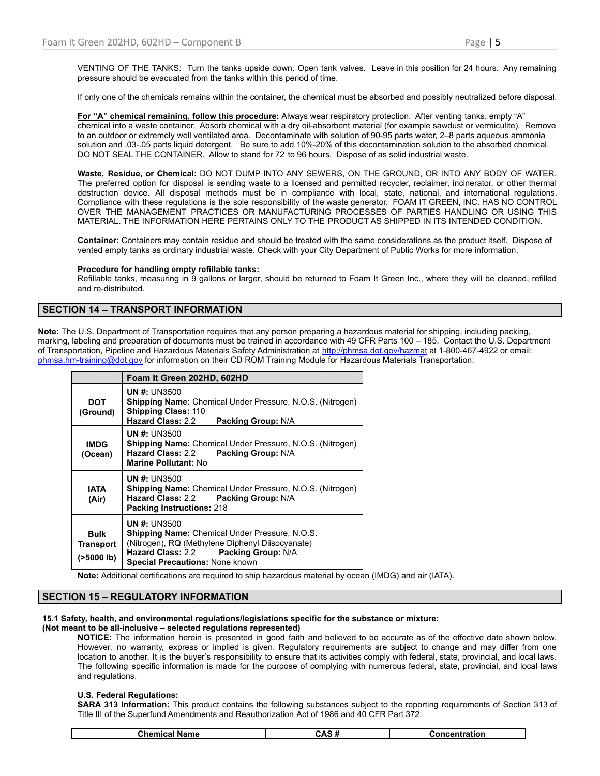VENTING OF THE TANKS: Turn the tanks upside down. Open tank valves. Leave in this position for 24 hours. Any remaining pressure should be evacuated from the tanks within this period of time.

If only one of the chemicals remains within the container, the chemical must be absorbed and possibly neutralized before disposal.

**For "A" chemical remaining, follow this procedure:** Always wear respiratory protection. After venting tanks, empty "A" chemical into a waste container. Absorb chemical with a dry oil-absorbent material (for example sawdust or vermiculite). Remove to an outdoor or extremely well ventilated area. Decontaminate with solution of 90-95 parts water, 2–8 parts aqueous ammonia solution and .03-.05 parts liquid detergent. Be sure to add 10%-20% of this decontamination solution to the absorbed chemical. DO NOT SEAL THE CONTAINER. Allow to stand for 72 to 96 hours. Dispose of as solid industrial waste.

**Waste, Residue, or Chemical:** DO NOT DUMP INTO ANY SEWERS, ON THE GROUND, OR INTO ANY BODY OF WATER. The preferred option for disposal is sending waste to a licensed and permitted recycler, reclaimer, incinerator, or other thermal destruction device. All disposal methods must be in compliance with local, state, national, and international regulations. Compliance with these regulations is the sole responsibility of the waste generator. FOAM IT GREEN, INC. HAS NO CONTROL OVER THE MANAGEMENT PRACTICES OR MANUFACTURING PROCESSES OF PARTIES HANDLING OR USING THIS MATERIAL. THE INFORMATION HERE PERTAINS ONLY TO THE PRODUCT AS SHIPPED IN ITS INTENDED CONDITION.

**Container:** Containers may contain residue and should be treated with the same considerations as the product itself. Dispose of vented empty tanks as ordinary industrial waste. Check with your City Department of Public Works for more information.

## **Procedure for handling empty refillable tanks:**

Refillable tanks, measuring in 9 gallons or larger, should be returned to Foam It Green Inc., where they will be cleaned, refilled and re-distributed.

# **SECTION 14 – TRANSPORT INFORMATION**

**Note:** The U.S. Department of Transportation requires that any person preparing a hazardous material for shipping, including packing, marking, labeling and preparation of documents must be trained in accordance with 49 CFR Parts 100 – 185. Contact the U.S. Department of Transportation, Pipeline and Hazardous Materials Safety Administration at <http://phmsa.dot.gov/hazmat> at 1-800-467-4922 or email: [phmsa.hm-training@dot.gov](mailto:phmsa.hm-training@dot.gov) for information on their CD ROM Training Module for Hazardous Materials Transportation.

|                                               | Foam It Green 202HD, 602HD                                                                                                                                                                                        |  |  |  |
|-----------------------------------------------|-------------------------------------------------------------------------------------------------------------------------------------------------------------------------------------------------------------------|--|--|--|
| <b>DOT</b><br>(Ground)                        | <b>UN #: UN3500</b><br><b>Shipping Name:</b> Chemical Under Pressure, N.O.S. (Nitrogen)<br><b>Shipping Class: 110</b><br><b>Hazard Class: 2.2</b><br><b>Packing Group: N/A</b>                                    |  |  |  |
| <b>IMDG</b><br>(Ocean)                        | <b>UN #: UN3500</b><br><b>Shipping Name:</b> Chemical Under Pressure, N.O.S. (Nitrogen)<br><b>Hazard Class: 2.2</b><br>Packing Group: N/A<br>Marine Pollutant: No                                                 |  |  |  |
| IATA<br>(Air)                                 | <b>UN #: UN3500</b><br><b>Shipping Name:</b> Chemical Under Pressure, N.O.S. (Nitrogen)<br>Hazard Class: 2.2 Packing Group: N/A<br><b>Packing Instructions: 218</b>                                               |  |  |  |
| <b>Bulk</b><br><b>Transport</b><br>(>5000 lb) | <b>UN#: UN3500</b><br><b>Shipping Name:</b> Chemical Under Pressure, N.O.S.<br>(Nitrogen), RQ (Methylene Diphenyl Diisocyanate)<br>Hazard Class: 2.2 Packing Group: N/A<br><b>Special Precautions: None known</b> |  |  |  |

**Note:** Additional certifications are required to ship hazardous material by ocean (IMDG) and air (IATA).

## **SECTION 15 – REGULATORY INFORMATION**

## **15.1 Safety, health, and environmental regulations/legislations specific for the substance or mixture:**

## **(Not meant to be all-inclusive – selected regulations represented)**

**NOTICE:** The information herein is presented in good faith and believed to be accurate as of the effective date shown below. However, no warranty, express or implied is given. Regulatory requirements are subject to change and may differ from one location to another. It is the buyer's responsibility to ensure that its activities comply with federal, state, provincial, and local laws. The following specific information is made for the purpose of complying with numerous federal, state, provincial, and local laws and regulations.

## **U.S. Federal Regulations:**

**SARA 313 Information:** This product contains the following substances subject to the reporting requirements of Section 313 of Title III of the Superfund Amendments and Reauthorization Act of 1986 and 40 CFR Part 372:

| Chemical | $\sim$ A $\sim$ | Concentration |
|----------|-----------------|---------------|
| Name     | JAJ.            | -···u auv     |
|          |                 |               |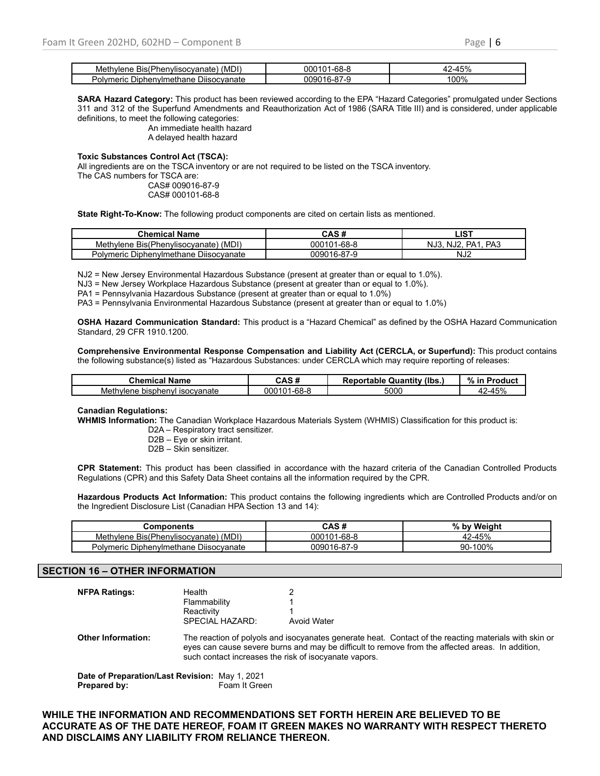| (MDI)<br>Methylene<br>Bis(Phenvlisocvanate)                | $1 - 68 -$<br>CO   | $-\circ$<br>7٥<br>ີ |
|------------------------------------------------------------|--------------------|---------------------|
| <b>D</b> isocvanate<br>Diphenylmethane '<br>meric<br>Polvm | .)090<br>- 16-87-- | 100%                |

**SARA Hazard Category:** This product has been reviewed according to the EPA "Hazard Categories" promulgated under Sections 311 and 312 of the Superfund Amendments and Reauthorization Act of 1986 (SARA Title III) and is considered, under applicable definitions, to meet the following categories:

> An immediate health hazard A delayed health hazard

#### **Toxic Substances Control Act (TSCA):**

All ingredients are on the TSCA inventory or are not required to be listed on the TSCA inventory. The CAS numbers for TSCA are:

CAS# 009016-87-9 CAS# 000101-68-8

**State Right-To-Know:** The following product components are cited on certain lists as mentioned.

| <b>Chemical Name</b>                     | CAS#        | ∟IST                                                          |
|------------------------------------------|-------------|---------------------------------------------------------------|
| (MDI)<br>Methylene Bis(Phenylisocyanate) | 000101-68-8 | PA <sub>3</sub><br>NJ3.<br>PA <sub>1</sub><br>NJ <sub>2</sub> |
| Polymeric Diphenylmethane Diisocyanate   | 009016-87-9 | NJ <sub>2</sub>                                               |

NJ2 = New Jersey Environmental Hazardous Substance (present at greater than or equal to 1.0%).

NJ3 = New Jersey Workplace Hazardous Substance (present at greater than or equal to 1.0%).

PA1 = Pennsylvania Hazardous Substance (present at greater than or equal to 1.0%)

PA3 = Pennsylvania Environmental Hazardous Substance (present at greater than or equal to 1.0%)

**OSHA Hazard Communication Standard:** This product is a "Hazard Chemical" as defined by the OSHA Hazard Communication Standard, 29 CFR 1910.1200.

**Comprehensive Environmental Response Compensation and Liability Act (CERCLA, or Superfund):** This product contains the following substance(s) listed as "Hazardous Substances: under CERCLA which may require reporting of releases:

| Chemical Name                  | CAS #       | <b>Reportable Quantity (Ibs.)</b> | %<br><b>Product</b><br>-in |
|--------------------------------|-------------|-----------------------------------|----------------------------|
| Methylene bisphenyl isocyanate | 000101-68-8 | 5000                              | $.2 - 45%$                 |

#### **Canadian Regulations:**

**WHMIS Information:** The Canadian Workplace Hazardous Materials System (WHMIS) Classification for this product is:

D2A – Respiratory tract sensitizer.

D2B – Eye or skin irritant.

D2B – Skin sensitizer.

**CPR Statement:** This product has been classified in accordance with the hazard criteria of the Canadian Controlled Products Regulations (CPR) and this Safety Data Sheet contains all the information required by the CPR.

**Hazardous Products Act Information:** This product contains the following ingredients which are Controlled Products and/or on the Ingredient Disclosure List (Canadian HPA Section 13 and 14):

| Components                             | CAS #       | $\mathbf{0}$<br>⁄ Weiaht<br>hv |
|----------------------------------------|-------------|--------------------------------|
| Methylene Bis(Phenylisocyanate) (MDI)  | 000101-68-8 | 42-45%                         |
| Polymeric Diphenylmethane Diisocyanate | 009016-87-9 | 90-100%                        |

## **SECTION 16 – OTHER INFORMATION**

| <b>NFPA Ratings:</b>                           | Health<br>Flammability<br>Reactivity<br>SPECIAL HAZARD: | Avoid Water                                                                                                                                                                                               |
|------------------------------------------------|---------------------------------------------------------|-----------------------------------------------------------------------------------------------------------------------------------------------------------------------------------------------------------|
| <b>Other Information:</b>                      | such contact increases the risk of isocyanate vapors.   | The reaction of polyols and isocyanates generate heat. Contact of the reacting materials with skin or<br>eyes can cause severe burns and may be difficult to remove from the affected areas. In addition, |
| Date of Preparation/Last Revision: May 1, 2021 |                                                         |                                                                                                                                                                                                           |

**Prepared by:** Foam It Green

**WHILE THE INFORMATION AND RECOMMENDATIONS SET FORTH HEREIN ARE BELIEVED TO BE ACCURATE AS OF THE DATE HEREOF, FOAM IT GREEN MAKES NO WARRANTY WITH RESPECT THERETO AND DISCLAIMS ANY LIABILITY FROM RELIANCE THEREON.**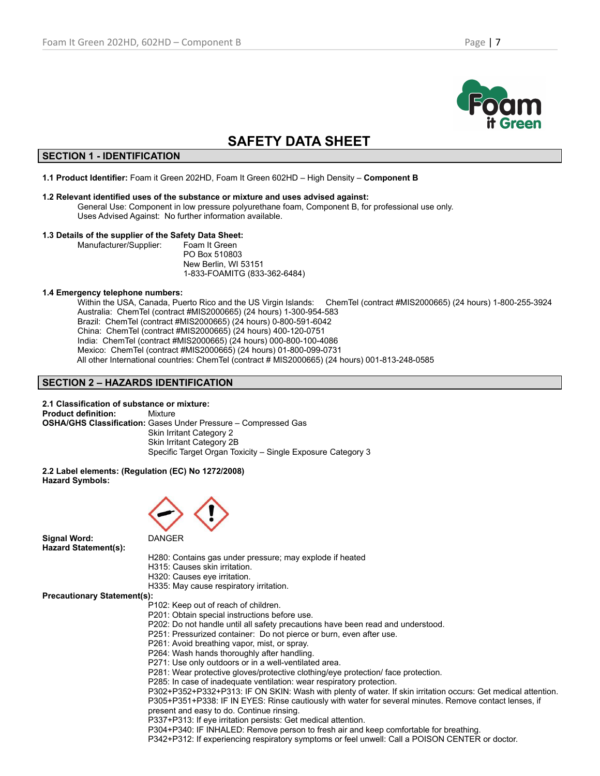

# **SAFETY DATA SHEET**

# **SECTION 1 - IDENTIFICATION**

**1.1 Product Identifier:** Foam it Green 202HD, Foam It Green 602HD – High Density – **Component B**

## **1.2 Relevant identified uses of the substance or mixture and uses advised against:**

General Use: Component in low pressure polyurethane foam, Component B, for professional use only. Uses Advised Against: No further information available.

## **1.3 Details of the supplier of the Safety Data Sheet:**

Manufacturer/Supplier: Foam It Green PO Box 510803 New Berlin, WI 53151 1-833-FOAMITG (833-362-6484)

## **1.4 Emergency telephone numbers:**

Within the USA, Canada, Puerto Rico and the US Virgin Islands: ChemTel (contract #MIS2000665) (24 hours) 1-800-255-3924 Australia: ChemTel (contract #MIS2000665) (24 hours) 1-300-954-583 Brazil: ChemTel (contract #MIS2000665) (24 hours) 0-800-591-6042 China: ChemTel (contract #MIS2000665) (24 hours) 400-120-0751 India: ChemTel (contract #MIS2000665) (24 hours) 000-800-100-4086 Mexico: ChemTel (contract #MIS2000665) (24 hours) 01-800-099-0731 All other International countries: ChemTel (contract # MIS2000665) (24 hours) 001-813-248-0585

# **SECTION 2 – HAZARDS IDENTIFICATION**

**2.1 Classification of substance or mixture: Product definition:** Mixture **OSHA/GHS Classification:** Gases Under Pressure – Compressed Gas Skin Irritant Category 2 Skin Irritant Category 2B Specific Target Organ Toxicity – Single Exposure Category 3

**2.2 Label elements: (Regulation (EC) No 1272/2008) Hazard Symbols:**



**Signal Word:** DANGER **Hazard Statement(s):**

H280: Contains gas under pressure; may explode if heated

- H315: Causes skin irritation.
- H320: Causes eye irritation.
- H335: May cause respiratory irritation.

**Precautionary Statement(s):**

- P102: Keep out of reach of children.
- P201: Obtain special instructions before use.
- P202: Do not handle until all safety precautions have been read and understood.
- P251: Pressurized container: Do not pierce or burn, even after use.
- P261: Avoid breathing vapor, mist, or spray.
- P264: Wash hands thoroughly after handling.
- P271: Use only outdoors or in a well-ventilated area.
- P281: Wear protective gloves/protective clothing/eye protection/ face protection.
- P285: In case of inadequate ventilation: wear respiratory protection.

P302+P352+P332+P313: IF ON SKIN: Wash with plenty of water. If skin irritation occurs: Get medical attention. P305+P351+P338: IF IN EYES: Rinse cautiously with water for several minutes. Remove contact lenses, if present and easy to do. Continue rinsing.

P337+P313: If eye irritation persists: Get medical attention.

P304+P340: IF INHALED: Remove person to fresh air and keep comfortable for breathing.

P342+P312: If experiencing respiratory symptoms or feel unwell: Call a POISON CENTER or doctor.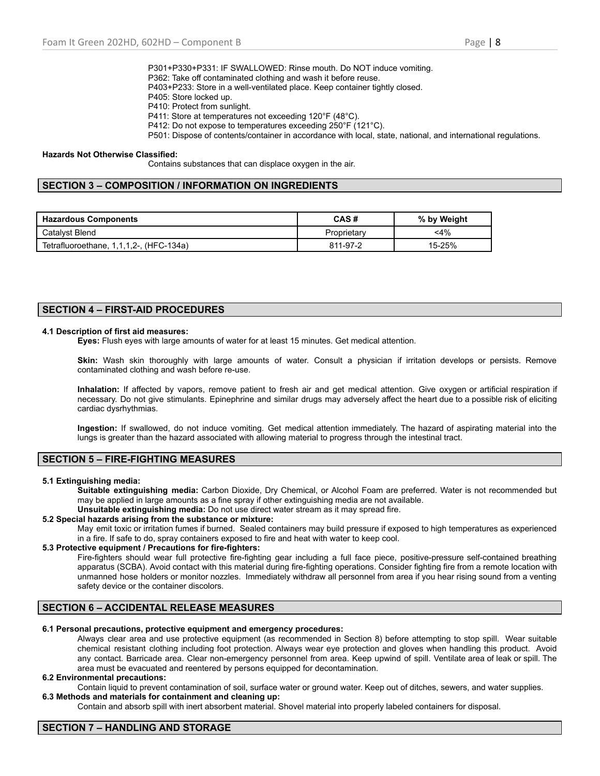- P301+P330+P331: IF SWALLOWED: Rinse mouth. Do NOT induce vomiting. P362: Take off contaminated clothing and wash it before reuse.
- P403+P233: Store in a well-ventilated place. Keep container tightly closed.
- P405: Store locked up.
- P410: Protect from sunlight.
- P411: Store at temperatures not exceeding 120°F (48°C).
- P412: Do not expose to temperatures exceeding 250°F (121°C).
- P501: Dispose of contents/container in accordance with local, state, national, and international regulations.

#### **Hazards Not Otherwise Classified:**

Contains substances that can displace oxygen in the air.

## **SECTION 3 – COMPOSITION / INFORMATION ON INGREDIENTS**

| l Hazardous Components                  | CAS#        | % by Weight |
|-----------------------------------------|-------------|-------------|
| Catalyst Blend                          | Proprietary | $<$ 4%      |
| Tetrafluoroethane, 1,1,1,2-, (HFC-134a) | 811-97-2    | 15-25%      |

# **SECTION 4 – FIRST-AID PROCEDURES**

## **4.1 Description of first aid measures:**

**Eyes:** Flush eyes with large amounts of water for at least 15 minutes. Get medical attention.

**Skin:** Wash skin thoroughly with large amounts of water. Consult a physician if irritation develops or persists. Remove contaminated clothing and wash before re-use.

**Inhalation:** If affected by vapors, remove patient to fresh air and get medical attention. Give oxygen or artificial respiration if necessary. Do not give stimulants. Epinephrine and similar drugs may adversely affect the heart due to a possible risk of eliciting cardiac dysrhythmias.

**Ingestion:** If swallowed, do not induce vomiting. Get medical attention immediately. The hazard of aspirating material into the lungs is greater than the hazard associated with allowing material to progress through the intestinal tract.

## **SECTION 5 – FIRE-FIGHTING MEASURES**

#### **5.1 Extinguishing media:**

**Suitable extinguishing media:** Carbon Dioxide, Dry Chemical, or Alcohol Foam are preferred. Water is not recommended but may be applied in large amounts as a fine spray if other extinguishing media are not available.

**Unsuitable extinguishing media:** Do not use direct water stream as it may spread fire.

## **5.2 Special hazards arising from the substance or mixture:**

May emit toxic or irritation fumes if burned. Sealed containers may build pressure if exposed to high temperatures as experienced in a fire. If safe to do, spray containers exposed to fire and heat with water to keep cool.

## **5.3 Protective equipment / Precautions for fire-fighters:**

Fire-fighters should wear full protective fire-fighting gear including a full face piece, positive-pressure self-contained breathing apparatus (SCBA). Avoid contact with this material during fire-fighting operations. Consider fighting fire from a remote location with unmanned hose holders or monitor nozzles. Immediately withdraw all personnel from area if you hear rising sound from a venting safety device or the container discolors.

## **SECTION 6 – ACCIDENTAL RELEASE MEASURES**

**6.1 Personal precautions, protective equipment and emergency procedures:**

Always clear area and use protective equipment (as recommended in Section 8) before attempting to stop spill. Wear suitable chemical resistant clothing including foot protection. Always wear eye protection and gloves when handling this product. Avoid any contact. Barricade area. Clear non-emergency personnel from area. Keep upwind of spill. Ventilate area of leak or spill. The area must be evacuated and reentered by persons equipped for decontamination.

#### **6.2 Environmental precautions:**

Contain liquid to prevent contamination of soil, surface water or ground water. Keep out of ditches, sewers, and water supplies. **6.3 Methods and materials for containment and cleaning up:**

Contain and absorb spill with inert absorbent material. Shovel material into properly labeled containers for disposal.

# **SECTION 7 – HANDLING AND STORAGE**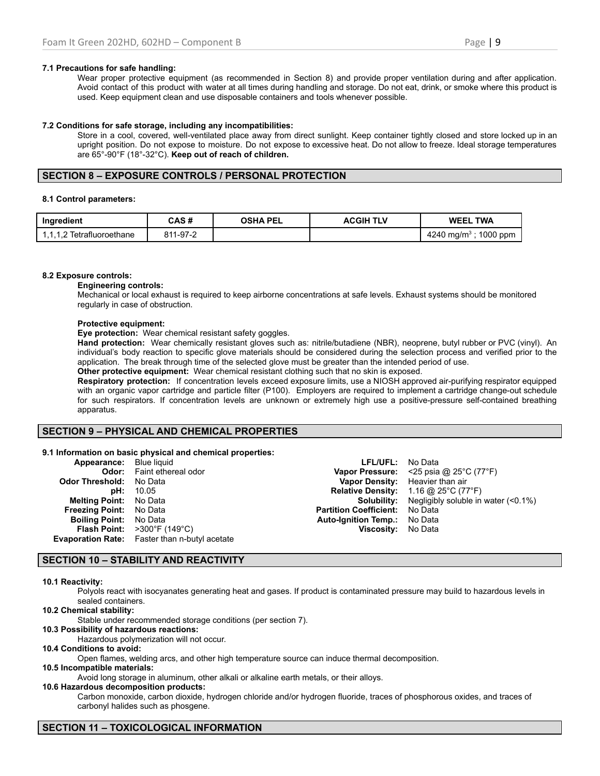## **7.1 Precautions for safe handling:**

Wear proper protective equipment (as recommended in Section 8) and provide proper ventilation during and after application. Avoid contact of this product with water at all times during handling and storage. Do not eat, drink, or smoke where this product is used. Keep equipment clean and use disposable containers and tools whenever possible.

## **7.2 Conditions for safe storage, including any incompatibilities:**

Store in a cool, covered, well-ventilated place away from direct sunlight. Keep container tightly closed and store locked up in an upright position. Do not expose to moisture. Do not expose to excessive heat. Do not allow to freeze. Ideal storage temperatures are 65°-90°F (18°-32°C). **Keep out of reach of children.**

# **SECTION 8 – EXPOSURE CONTROLS / PERSONAL PROTECTION**

## **8.1 Control parameters:**

| Ingredient                | CAS #    | OSHA PEL | <b>ACGIH TLV</b> | <b>WEEL TWA</b>                   |
|---------------------------|----------|----------|------------------|-----------------------------------|
| 1.1.1.2 Tetrafluoroethane | 811-97-2 |          |                  | 4240 mg/m <sup>3</sup> ; 1000 ppm |

## **8.2 Exposure controls:**

## **Engineering controls:**

Mechanical or local exhaust is required to keep airborne concentrations at safe levels. Exhaust systems should be monitored regularly in case of obstruction.

## **Protective equipment:**

**Eye protection:** Wear chemical resistant safety goggles.

**Hand protection:** Wear chemically resistant gloves such as: nitrile/butadiene (NBR), neoprene, butyl rubber or PVC (vinyl). An individual's body reaction to specific glove materials should be considered during the selection process and verified prior to the application. The break through time of the selected glove must be greater than the intended period of use.

**Other protective equipment:** Wear chemical resistant clothing such that no skin is exposed.

**Respiratory protection:** If concentration levels exceed exposure limits, use a NIOSH approved air-purifying respirator equipped with an organic vapor cartridge and particle filter (P100). Employers are required to implement a cartridge change-out schedule for such respirators. If concentration levels are unknown or extremely high use a positive-pressure self-contained breathing apparatus.

## **SECTION 9 – PHYSICAL AND CHEMICAL PROPERTIES**

## **9.1 Information on basic physical and chemical properties:**

| <b>Appearance:</b> Blue liquid |                                                         | <b>LFL/UFL:</b> No Data               |                                                                       |
|--------------------------------|---------------------------------------------------------|---------------------------------------|-----------------------------------------------------------------------|
|                                | <b>Odor:</b> Faint ethereal odor                        |                                       | <b>Vapor Pressure:</b> <25 psia @ $25^{\circ}$ C (77 $^{\circ}$ F)    |
| <b>Odor Threshold: No Data</b> |                                                         |                                       | Vapor Density: Heavier than air                                       |
| pH:                            | 10.05                                                   |                                       | <b>Relative Density:</b> $1.16 \text{ @ } 25^{\circ} \text{C}$ (77°F) |
| <b>Melting Point:</b> No Data  |                                                         |                                       | <b>Solubility:</b> Negligibly soluble in water (<0.1%)                |
| <b>Freezing Point:</b> No Data |                                                         | <b>Partition Coefficient:</b> No Data |                                                                       |
| <b>Boiling Point:</b> No Data  |                                                         | <b>Auto-Ignition Temp.:</b> No Data   |                                                                       |
|                                | <b>Flash Point:</b> $>300^{\circ}$ F (149 $^{\circ}$ C) | Viscosity: No Data                    |                                                                       |
|                                | <b>Evaporation Rate:</b> Faster than n-butyl acetate    |                                       |                                                                       |

# **SECTION 10 – STABILITY AND REACTIVITY**

## **10.1 Reactivity:**

Polyols react with isocyanates generating heat and gases. If product is contaminated pressure may build to hazardous levels in sealed containers.

**10.2 Chemical stability:**

Stable under recommended storage conditions (per section 7).

**10.3 Possibility of hazardous reactions:** Hazardous polymerization will not occur.

**10.4 Conditions to avoid:**

Open flames, welding arcs, and other high temperature source can induce thermal decomposition.

## **10.5 Incompatible materials:**

Avoid long storage in aluminum, other alkali or alkaline earth metals, or their alloys.

#### **10.6 Hazardous decomposition products:**

Carbon monoxide, carbon dioxide, hydrogen chloride and/or hydrogen fluoride, traces of phosphorous oxides, and traces of carbonyl halides such as phosgene.

# **SECTION 11 – TOXICOLOGICAL INFORMATION**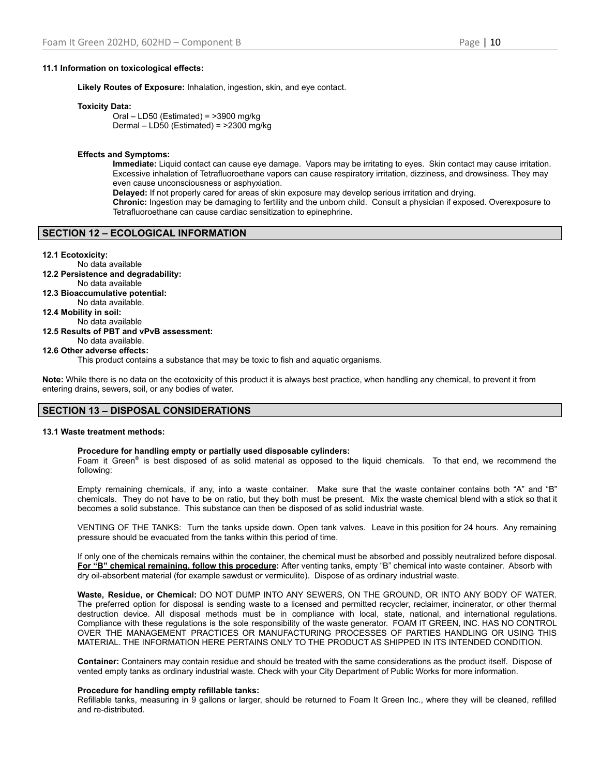## **11.1 Information on toxicological effects:**

**Likely Routes of Exposure:** Inhalation, ingestion, skin, and eye contact.

#### **Toxicity Data:**

Oral – LD50 (Estimated) = >3900 mg/kg Dermal – LD50 (Estimated) = >2300 mg/kg

#### **Effects and Symptoms:**

**Immediate:** Liquid contact can cause eye damage. Vapors may be irritating to eyes. Skin contact may cause irritation. Excessive inhalation of Tetrafluoroethane vapors can cause respiratory irritation, dizziness, and drowsiness. They may even cause unconsciousness or asphyxiation.

**Delayed:** If not properly cared for areas of skin exposure may develop serious irritation and drying.

**Chronic:** Ingestion may be damaging to fertility and the unborn child. Consult a physician if exposed. Overexposure to Tetrafluoroethane can cause cardiac sensitization to epinephrine.

## **SECTION 12 – ECOLOGICAL INFORMATION**

#### **12.1 Ecotoxicity:**

No data available **12.2 Persistence and degradability:** No data available **12.3 Bioaccumulative potential:** No data available. **12.4 Mobility in soil:** No data available **12.5 Results of PBT and vPvB assessment:** No data available. **12.6 Other adverse effects:** This product contains a substance that may be toxic to fish and aquatic organisms.

**Note:** While there is no data on the ecotoxicity of this product it is always best practice, when handling any chemical, to prevent it from entering drains, sewers, soil, or any bodies of water.

## **SECTION 13 – DISPOSAL CONSIDERATIONS**

#### **13.1 Waste treatment methods:**

# **Procedure for handling empty or partially used disposable cylinders:**

Foam it Green<sup>®</sup> is best disposed of as solid material as opposed to the liquid chemicals. To that end, we recommend the following:

Empty remaining chemicals, if any, into a waste container. Make sure that the waste container contains both "A" and "B" chemicals. They do not have to be on ratio, but they both must be present. Mix the waste chemical blend with a stick so that it becomes a solid substance. This substance can then be disposed of as solid industrial waste.

VENTING OF THE TANKS: Turn the tanks upside down. Open tank valves. Leave in this position for 24 hours. Any remaining pressure should be evacuated from the tanks within this period of time.

If only one of the chemicals remains within the container, the chemical must be absorbed and possibly neutralized before disposal. **For "B" chemical remaining, follow this procedure:** After venting tanks, empty "B" chemical into waste container. Absorb with dry oil-absorbent material (for example sawdust or vermiculite). Dispose of as ordinary industrial waste.

**Waste, Residue, or Chemical:** DO NOT DUMP INTO ANY SEWERS, ON THE GROUND, OR INTO ANY BODY OF WATER. The preferred option for disposal is sending waste to a licensed and permitted recycler, reclaimer, incinerator, or other thermal destruction device. All disposal methods must be in compliance with local, state, national, and international regulations. Compliance with these regulations is the sole responsibility of the waste generator. FOAM IT GREEN, INC. HAS NO CONTROL OVER THE MANAGEMENT PRACTICES OR MANUFACTURING PROCESSES OF PARTIES HANDLING OR USING THIS MATERIAL. THE INFORMATION HERE PERTAINS ONLY TO THE PRODUCT AS SHIPPED IN ITS INTENDED CONDITION.

**Container:** Containers may contain residue and should be treated with the same considerations as the product itself. Dispose of vented empty tanks as ordinary industrial waste. Check with your City Department of Public Works for more information.

#### **Procedure for handling empty refillable tanks:**

Refillable tanks, measuring in 9 gallons or larger, should be returned to Foam It Green Inc., where they will be cleaned, refilled and re-distributed.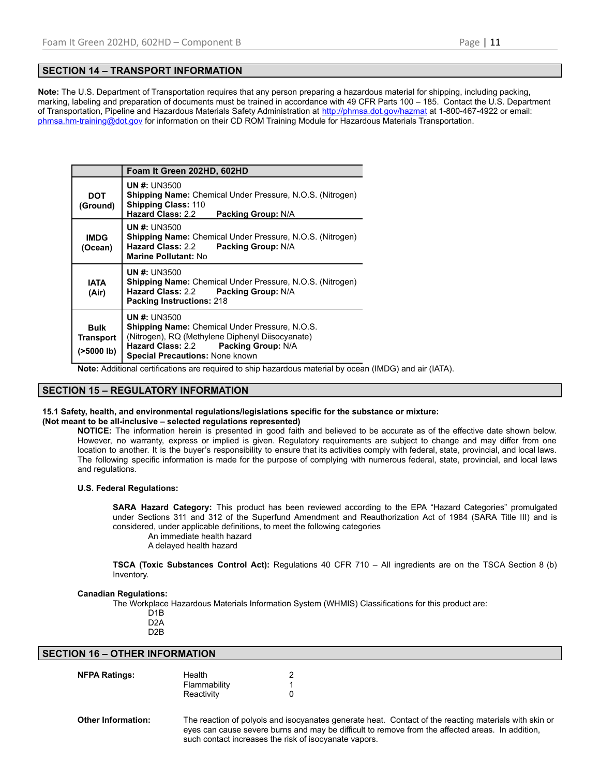# **SECTION 14 – TRANSPORT INFORMATION**

**Note:** The U.S. Department of Transportation requires that any person preparing a hazardous material for shipping, including packing, marking, labeling and preparation of documents must be trained in accordance with 49 CFR Parts 100 – 185. Contact the U.S. Department of Transportation, Pipeline and Hazardous Materials Safety Administration at <http://phmsa.dot.gov/hazmat> at 1-800-467-4922 or email: [phmsa.hm-training@dot.gov](mailto:phmsa.hm-training@dot.gov) for information on their CD ROM Training Module for Hazardous Materials Transportation.

|                                                 | Foam It Green 202HD, 602HD                                                                                                                                                                                         |  |  |
|-------------------------------------------------|--------------------------------------------------------------------------------------------------------------------------------------------------------------------------------------------------------------------|--|--|
| DOT<br>(Ground)                                 | <b>UN #: UN3500</b><br><b>Shipping Name:</b> Chemical Under Pressure, N.O.S. (Nitrogen)<br><b>Shipping Class: 110</b><br><b>Hazard Class: 2.2</b><br><b>Packing Group: N/A</b>                                     |  |  |
| <b>IMDG</b><br>(Ocean)                          | <b>UN #: UN3500</b><br><b>Shipping Name:</b> Chemical Under Pressure, N.O.S. (Nitrogen)<br><b>Hazard Class: 2.2</b><br>Packing Group: N/A<br><b>Marine Pollutant: No</b>                                           |  |  |
| <b>IATA</b><br>(Air)                            | <b>UN #: UN3500</b><br><b>Shipping Name:</b> Chemical Under Pressure, N.O.S. (Nitrogen)<br><b>Hazard Class: 2.2</b><br><b>Packing Group: N/A</b><br><b>Packing Instructions: 218</b>                               |  |  |
| <b>Bulk</b><br><b>Transport</b><br>( > 5000 lb) | <b>UN #: UN3500</b><br><b>Shipping Name:</b> Chemical Under Pressure, N.O.S.<br>(Nitrogen), RQ (Methylene Diphenyl Diisocyanate)<br>Hazard Class: 2.2 Packing Group: N/A<br><b>Special Precautions: None known</b> |  |  |

**Note:** Additional certifications are required to ship hazardous material by ocean (IMDG) and air (IATA).

## **SECTION 15 – REGULATORY INFORMATION**

## **15.1 Safety, health, and environmental regulations/legislations specific for the substance or mixture:**

## **(Not meant to be all-inclusive – selected regulations represented)**

**NOTICE:** The information herein is presented in good faith and believed to be accurate as of the effective date shown below. However, no warranty, express or implied is given. Regulatory requirements are subject to change and may differ from one location to another. It is the buyer's responsibility to ensure that its activities comply with federal, state, provincial, and local laws. The following specific information is made for the purpose of complying with numerous federal, state, provincial, and local laws and regulations.

#### **U.S. Federal Regulations:**

**SARA Hazard Category:** This product has been reviewed according to the EPA "Hazard Categories" promulgated under Sections 311 and 312 of the Superfund Amendment and Reauthorization Act of 1984 (SARA Title III) and is considered, under applicable definitions, to meet the following categories

An immediate health hazard

A delayed health hazard

**TSCA (Toxic Substances Control Act):** Regulations 40 CFR 710 – All ingredients are on the TSCA Section 8 (b) Inventory.

## **Canadian Regulations:**

The Workplace Hazardous Materials Information System (WHMIS) Classifications for this product are:

- D1B
- D2A
- D2B

| <b>SECTION 16 - OTHER INFORMATION</b> |
|---------------------------------------|
|                                       |

| <b>NFPA Ratings:</b> | Health       |  |
|----------------------|--------------|--|
|                      | Flammability |  |
|                      | Reactivity   |  |
|                      |              |  |

**Other Information:** The reaction of polyols and isocyanates generate heat. Contact of the reacting materials with skin or eyes can cause severe burns and may be difficult to remove from the affected areas. In addition, such contact increases the risk of isocyanate vapors.